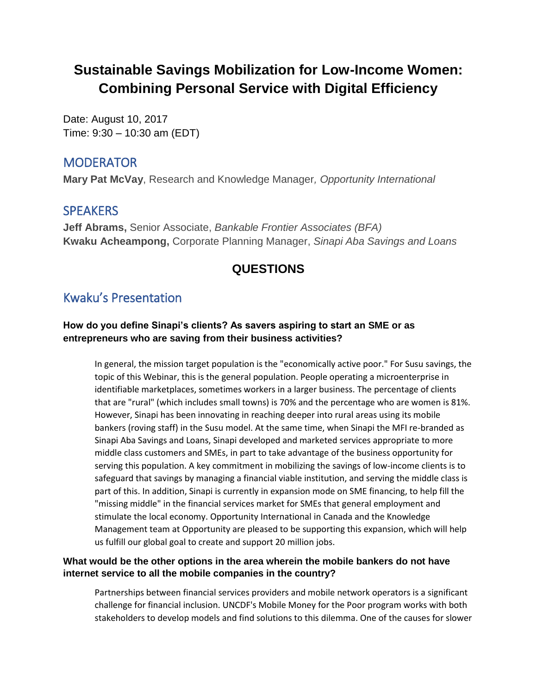# **Sustainable Savings Mobilization for Low-Income Women: Combining Personal Service with Digital Efficiency**

Date: August 10, 2017 Time: 9:30 – 10:30 am (EDT)

### **MODERATOR**

**Mary Pat McVay**, Research and Knowledge Manager*, Opportunity International*

# **SPEAKERS**

**Jeff Abrams,** Senior Associate, *Bankable Frontier Associates (BFA)* **Kwaku Acheampong,** Corporate Planning Manager, *Sinapi Aba Savings and Loans*

# **QUESTIONS**

# Kwaku's Presentation

### **How do you define Sinapi's clients? As savers aspiring to start an SME or as entrepreneurs who are saving from their business activities?**

In general, the mission target population is the "economically active poor." For Susu savings, the topic of this Webinar, this is the general population. People operating a microenterprise in identifiable marketplaces, sometimes workers in a larger business. The percentage of clients that are "rural" (which includes small towns) is 70% and the percentage who are women is 81%. However, Sinapi has been innovating in reaching deeper into rural areas using its mobile bankers (roving staff) in the Susu model. At the same time, when Sinapi the MFI re-branded as Sinapi Aba Savings and Loans, Sinapi developed and marketed services appropriate to more middle class customers and SMEs, in part to take advantage of the business opportunity for serving this population. A key commitment in mobilizing the savings of low-income clients is to safeguard that savings by managing a financial viable institution, and serving the middle class is part of this. In addition, Sinapi is currently in expansion mode on SME financing, to help fill the "missing middle" in the financial services market for SMEs that general employment and stimulate the local economy. Opportunity International in Canada and the Knowledge Management team at Opportunity are pleased to be supporting this expansion, which will help us fulfill our global goal to create and support 20 million jobs.

### **What would be the other options in the area wherein the mobile bankers do not have internet service to all the mobile companies in the country?**

Partnerships between financial services providers and mobile network operators is a significant challenge for financial inclusion. UNCDF's Mobile Money for the Poor program works with both stakeholders to develop models and find solutions to this dilemma. One of the causes for slower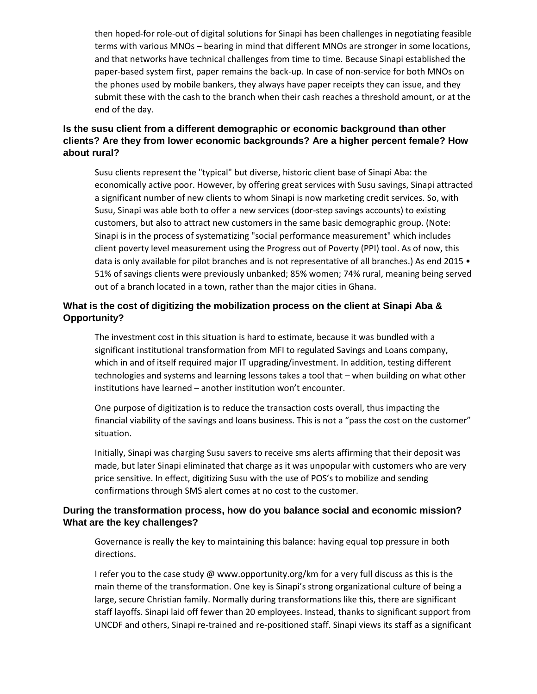then hoped-for role-out of digital solutions for Sinapi has been challenges in negotiating feasible terms with various MNOs – bearing in mind that different MNOs are stronger in some locations, and that networks have technical challenges from time to time. Because Sinapi established the paper-based system first, paper remains the back-up. In case of non-service for both MNOs on the phones used by mobile bankers, they always have paper receipts they can issue, and they submit these with the cash to the branch when their cash reaches a threshold amount, or at the end of the day.

### **Is the susu client from a different demographic or economic background than other clients? Are they from lower economic backgrounds? Are a higher percent female? How about rural?**

Susu clients represent the "typical" but diverse, historic client base of Sinapi Aba: the economically active poor. However, by offering great services with Susu savings, Sinapi attracted a significant number of new clients to whom Sinapi is now marketing credit services. So, with Susu, Sinapi was able both to offer a new services (door-step savings accounts) to existing customers, but also to attract new customers in the same basic demographic group. (Note: Sinapi is in the process of systematizing "social performance measurement" which includes client poverty level measurement using the Progress out of Poverty (PPI) tool. As of now, this data is only available for pilot branches and is not representative of all branches.) As end 2015 • 51% of savings clients were previously unbanked; 85% women; 74% rural, meaning being served out of a branch located in a town, rather than the major cities in Ghana.

### **What is the cost of digitizing the mobilization process on the client at Sinapi Aba & Opportunity?**

The investment cost in this situation is hard to estimate, because it was bundled with a significant institutional transformation from MFI to regulated Savings and Loans company, which in and of itself required major IT upgrading/investment. In addition, testing different technologies and systems and learning lessons takes a tool that – when building on what other institutions have learned – another institution won't encounter.

One purpose of digitization is to reduce the transaction costs overall, thus impacting the financial viability of the savings and loans business. This is not a "pass the cost on the customer" situation.

Initially, Sinapi was charging Susu savers to receive sms alerts affirming that their deposit was made, but later Sinapi eliminated that charge as it was unpopular with customers who are very price sensitive. In effect, digitizing Susu with the use of POS's to mobilize and sending confirmations through SMS alert comes at no cost to the customer.

#### **During the transformation process, how do you balance social and economic mission? What are the key challenges?**

Governance is really the key to maintaining this balance: having equal top pressure in both directions.

I refer you to the case study [@ www.opportunity.org/km](http://www.opportunity.org/km) for a very full discuss as this is the main theme of the transformation. One key is Sinapi's strong organizational culture of being a large, secure Christian family. Normally during transformations like this, there are significant staff layoffs. Sinapi laid off fewer than 20 employees. Instead, thanks to significant support from UNCDF and others, Sinapi re-trained and re-positioned staff. Sinapi views its staff as a significant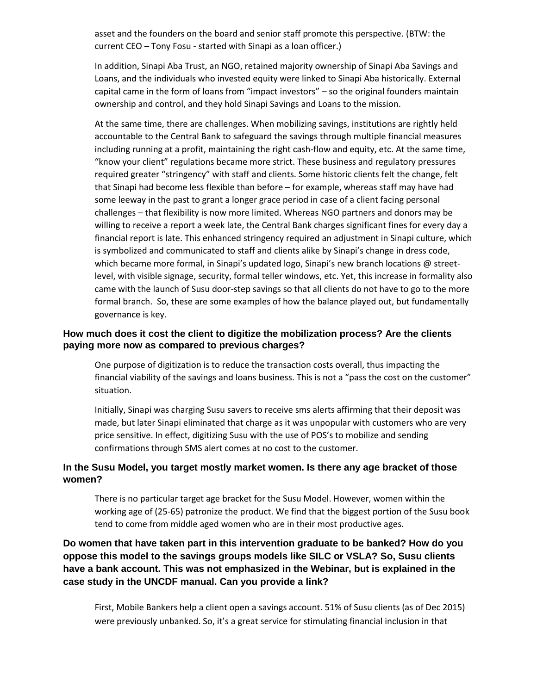asset and the founders on the board and senior staff promote this perspective. (BTW: the current CEO – Tony Fosu - started with Sinapi as a loan officer.)

In addition, Sinapi Aba Trust, an NGO, retained majority ownership of Sinapi Aba Savings and Loans, and the individuals who invested equity were linked to Sinapi Aba historically. External capital came in the form of loans from "impact investors" – so the original founders maintain ownership and control, and they hold Sinapi Savings and Loans to the mission.

At the same time, there are challenges. When mobilizing savings, institutions are rightly held accountable to the Central Bank to safeguard the savings through multiple financial measures including running at a profit, maintaining the right cash-flow and equity, etc. At the same time, "know your client" regulations became more strict. These business and regulatory pressures required greater "stringency" with staff and clients. Some historic clients felt the change, felt that Sinapi had become less flexible than before – for example, whereas staff may have had some leeway in the past to grant a longer grace period in case of a client facing personal challenges – that flexibility is now more limited. Whereas NGO partners and donors may be willing to receive a report a week late, the Central Bank charges significant fines for every day a financial report is late. This enhanced stringency required an adjustment in Sinapi culture, which is symbolized and communicated to staff and clients alike by Sinapi's change in dress code, which became more formal, in Sinapi's updated logo, Sinapi's new branch locations @ streetlevel, with visible signage, security, formal teller windows, etc. Yet, this increase in formality also came with the launch of Susu door-step savings so that all clients do not have to go to the more formal branch. So, these are some examples of how the balance played out, but fundamentally governance is key.

#### **How much does it cost the client to digitize the mobilization process? Are the clients paying more now as compared to previous charges?**

One purpose of digitization is to reduce the transaction costs overall, thus impacting the financial viability of the savings and loans business. This is not a "pass the cost on the customer" situation.

Initially, Sinapi was charging Susu savers to receive sms alerts affirming that their deposit was made, but later Sinapi eliminated that charge as it was unpopular with customers who are very price sensitive. In effect, digitizing Susu with the use of POS's to mobilize and sending confirmations through SMS alert comes at no cost to the customer.

#### **In the Susu Model, you target mostly market women. Is there any age bracket of those women?**

There is no particular target age bracket for the Susu Model. However, women within the working age of (25-65) patronize the product. We find that the biggest portion of the Susu book tend to come from middle aged women who are in their most productive ages.

**Do women that have taken part in this intervention graduate to be banked? How do you oppose this model to the savings groups models like SILC or VSLA? So, Susu clients have a bank account. This was not emphasized in the Webinar, but is explained in the case study in the UNCDF manual. Can you provide a link?**

First, Mobile Bankers help a client open a savings account. 51% of Susu clients (as of Dec 2015) were previously unbanked. So, it's a great service for stimulating financial inclusion in that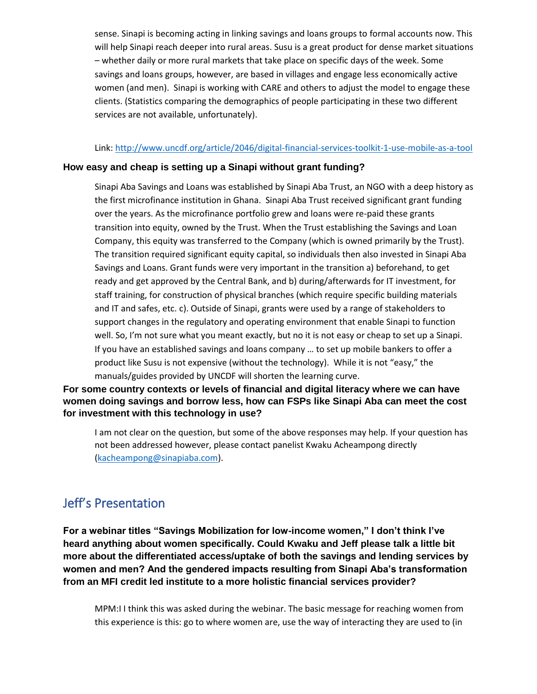sense. Sinapi is becoming acting in linking savings and loans groups to formal accounts now. This will help Sinapi reach deeper into rural areas. Susu is a great product for dense market situations – whether daily or more rural markets that take place on specific days of the week. Some savings and loans groups, however, are based in villages and engage less economically active women (and men). Sinapi is working with CARE and others to adjust the model to engage these clients. (Statistics comparing the demographics of people participating in these two different services are not available, unfortunately).

#### Link: <http://www.uncdf.org/article/2046/digital-financial-services-toolkit-1-use-mobile-as-a-tool>

#### **How easy and cheap is setting up a Sinapi without grant funding?**

Sinapi Aba Savings and Loans was established by Sinapi Aba Trust, an NGO with a deep history as the first microfinance institution in Ghana. Sinapi Aba Trust received significant grant funding over the years. As the microfinance portfolio grew and loans were re-paid these grants transition into equity, owned by the Trust. When the Trust establishing the Savings and Loan Company, this equity was transferred to the Company (which is owned primarily by the Trust). The transition required significant equity capital, so individuals then also invested in Sinapi Aba Savings and Loans. Grant funds were very important in the transition a) beforehand, to get ready and get approved by the Central Bank, and b) during/afterwards for IT investment, for staff training, for construction of physical branches (which require specific building materials and IT and safes, etc. c). Outside of Sinapi, grants were used by a range of stakeholders to support changes in the regulatory and operating environment that enable Sinapi to function well. So, I'm not sure what you meant exactly, but no it is not easy or cheap to set up a Sinapi. If you have an established savings and loans company … to set up mobile bankers to offer a product like Susu is not expensive (without the technology). While it is not "easy," the manuals/guides provided by UNCDF will shorten the learning curve.

**For some country contexts or levels of financial and digital literacy where we can have women doing savings and borrow less, how can FSPs like Sinapi Aba can meet the cost for investment with this technology in use?**

I am not clear on the question, but some of the above responses may help. If your question has not been addressed however, please contact panelist Kwaku Acheampong directly [\(kacheampong@sinapiaba.com\)](mailto:kacheampong@sinapiaba.com).

# Jeff's Presentation

**For a webinar titles "Savings Mobilization for low-income women," I don't think I've heard anything about women specifically. Could Kwaku and Jeff please talk a little bit more about the differentiated access/uptake of both the savings and lending services by women and men? And the gendered impacts resulting from Sinapi Aba's transformation from an MFI credit led institute to a more holistic financial services provider?**

MPM:I I think this was asked during the webinar. The basic message for reaching women from this experience is this: go to where women are, use the way of interacting they are used to (in